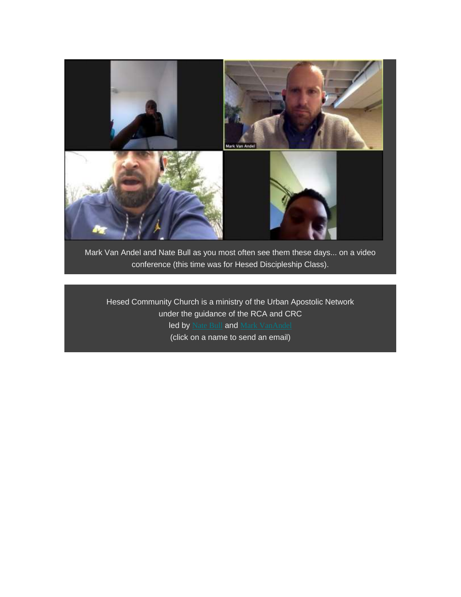

Mark Van Andel and Nate Bull as you most often see them these days... on a video conference (this time was for Hesed Discipleship Class).

Hesed Community Church is a ministry of the Urban Apostolic Network under the guidance of the RCA and CRC led by [Nate](mailto:nathanielbull@hotmail.com?subject=Hesed%20News%20Response) Bull and Mark [VanAndel](mailto:mark_vanandel@hotmail.com?subject=Hesed%20News%20Response) (click on a name to send an email)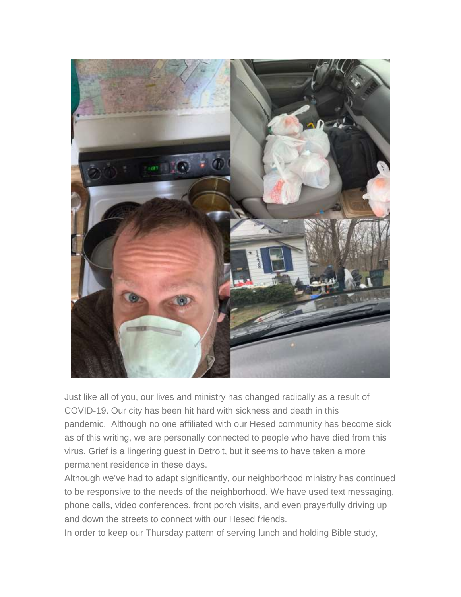

Just like all of you, our lives and ministry has changed radically as a result of COVID-19. Our city has been hit hard with sickness and death in this pandemic. Although no one affiliated with our Hesed community has become sick as of this writing, we are personally connected to people who have died from this virus. Grief is a lingering guest in Detroit, but it seems to have taken a more permanent residence in these days.

Although we've had to adapt significantly, our neighborhood ministry has continued to be responsive to the needs of the neighborhood. We have used text messaging, phone calls, video conferences, front porch visits, and even prayerfully driving up and down the streets to connect with our Hesed friends.

In order to keep our Thursday pattern of serving lunch and holding Bible study,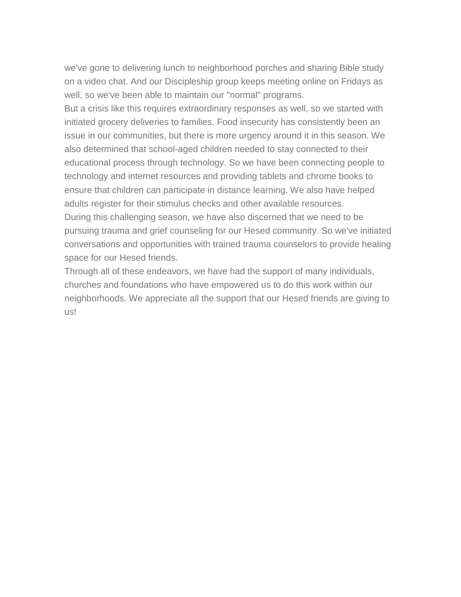we've gone to delivering lunch to neighborhood porches and sharing Bible study on a video chat. And our Discipleship group keeps meeting online on Fridays as well, so we've been able to maintain our "normal" programs.

But a crisis like this requires extraordinary responses as well, so we started with initiated grocery deliveries to families. Food insecurity has consistently been an issue in our communities, but there is more urgency around it in this season. We also determined that school-aged children needed to stay connected to their educational process through technology. So we have been connecting people to technology and internet resources and providing tablets and chrome books to ensure that children can participate in distance learning. We also have helped adults register for their stimulus checks and other available resources. During this challenging season, we have also discerned that we need to be pursuing trauma and grief counseling for our Hesed community. So we've initiated conversations and opportunities with trained trauma counselors to provide healing

Through all of these endeavors, we have had the support of many individuals, churches and foundations who have empowered us to do this work within our neighborhoods. We appreciate all the support that our Hesed friends are giving to us!

space for our Hesed friends.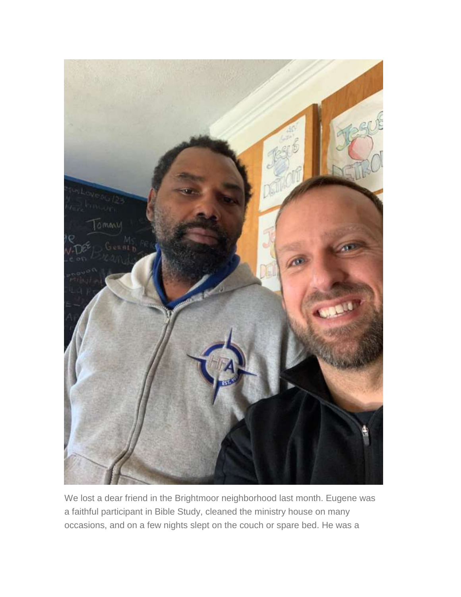

We lost a dear friend in the Brightmoor neighborhood last month. Eugene was a faithful participant in Bible Study, cleaned the ministry house on many occasions, and on a few nights slept on the couch or spare bed. He was a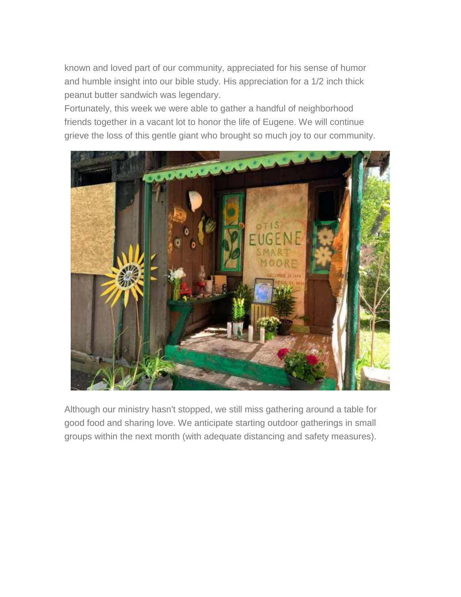known and loved part of our community, appreciated for his sense of humor and humble insight into our bible study. His appreciation for a 1/2 inch thick peanut butter sandwich was legendary.

Fortunately, this week we were able to gather a handful of neighborhood friends together in a vacant lot to honor the life of Eugene. We will continue grieve the loss of this gentle giant who brought so much joy to our community.



Although our ministry hasn't stopped, we still miss gathering around a table for good food and sharing love. We anticipate starting outdoor gatherings in small groups within the next month (with adequate distancing and safety measures).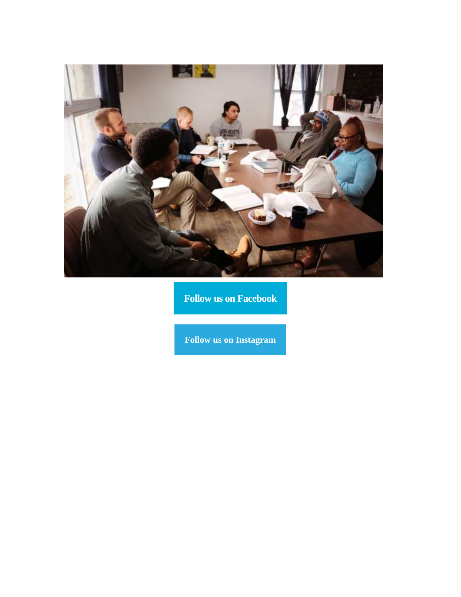

**Follow us on [Facebook](https://nam11.safelinks.protection.outlook.com/?url=https%3A%2F%2Fhesedcc.us8.list-manage.com%2Ftrack%2Fclick%3Fu%3Dca932515f9d8d4d68f74a8bf5%26id%3D744183c6d4%26e%3Dcf140aa850&data=02%7C01%7C%7C892daee944d844ec4fa608d7fe8beca6%7C84df9e7fe9f640afb435aaaaaaaaaaaa%7C1%7C0%7C637257749227369858&sdata=VqNeVVhJ%2Bs3WOjIby3fvA1Lt49ZrUEyxWUOx3j0Rg6o%3D&reserved=0)**

**Follow us on [Instagram](https://nam11.safelinks.protection.outlook.com/?url=https%3A%2F%2Fhesedcc.us8.list-manage.com%2Ftrack%2Fclick%3Fu%3Dca932515f9d8d4d68f74a8bf5%26id%3D7680c99648%26e%3Dcf140aa850&data=02%7C01%7C%7C892daee944d844ec4fa608d7fe8beca6%7C84df9e7fe9f640afb435aaaaaaaaaaaa%7C1%7C0%7C637257749227374846&sdata=y1wifbOR0h9QVK0m3nQMWJwP37WHoH9ANJoDFpQhx3E%3D&reserved=0)**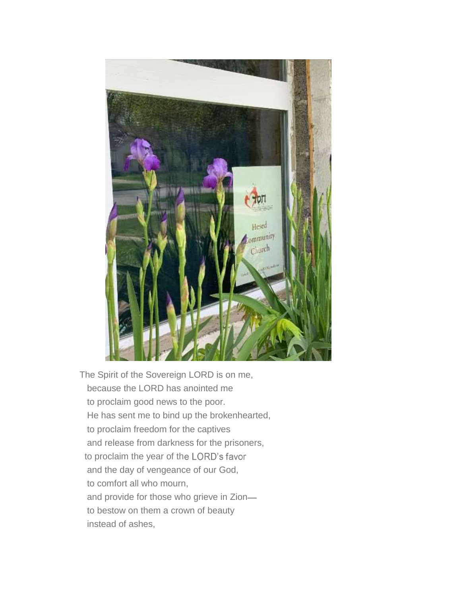

The Spirit of the Sovereign LORD is on me, because the LORD has anointed me to proclaim good news to the poor. He has sent me to bind up the brokenhearted, to proclaim freedom for the captives and release from darkness for the prisoners, to proclaim the year of the LORD's favor and the day of vengeance of our God, to comfort all who mourn, and provide for those who grieve in Zion to bestow on them a crown of beauty instead of ashes,